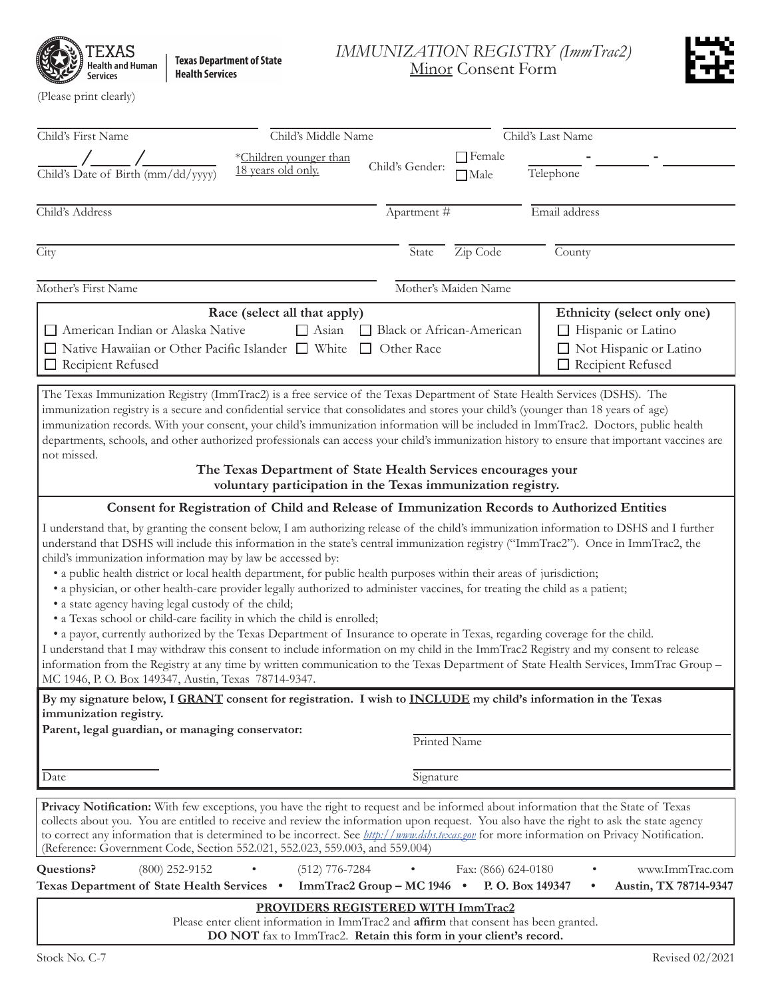$\operatorname{TEXAS}$ <br>Health and Human Services

Texas Department of State<br>Health Services

*IMMUNIZATION REGISTRY (ImmTrac2)* Minor Consent Form



(Please print clearly)

| Child's First Name                                                                                                                                                                                                                                                                                                                                                                                                                                                                                                                                                                                                                                                                                                                                                                                                                                                                                                          | Child's Middle Name    | Child's Last Name          |                      |                                                                                                                                                                                                                                                                                  |  |
|-----------------------------------------------------------------------------------------------------------------------------------------------------------------------------------------------------------------------------------------------------------------------------------------------------------------------------------------------------------------------------------------------------------------------------------------------------------------------------------------------------------------------------------------------------------------------------------------------------------------------------------------------------------------------------------------------------------------------------------------------------------------------------------------------------------------------------------------------------------------------------------------------------------------------------|------------------------|----------------------------|----------------------|----------------------------------------------------------------------------------------------------------------------------------------------------------------------------------------------------------------------------------------------------------------------------------|--|
|                                                                                                                                                                                                                                                                                                                                                                                                                                                                                                                                                                                                                                                                                                                                                                                                                                                                                                                             | *Children younger than |                            | $\Box$ Female        |                                                                                                                                                                                                                                                                                  |  |
| Child's Date of Birth (mm/dd/yyyy)                                                                                                                                                                                                                                                                                                                                                                                                                                                                                                                                                                                                                                                                                                                                                                                                                                                                                          | 18 years old only.     | Child's Gender:            | $\Box$ Male          | Telephone                                                                                                                                                                                                                                                                        |  |
| Child's Address                                                                                                                                                                                                                                                                                                                                                                                                                                                                                                                                                                                                                                                                                                                                                                                                                                                                                                             |                        | Apartment #                |                      | Email address                                                                                                                                                                                                                                                                    |  |
| City                                                                                                                                                                                                                                                                                                                                                                                                                                                                                                                                                                                                                                                                                                                                                                                                                                                                                                                        |                        | State                      | Zip Code             | County                                                                                                                                                                                                                                                                           |  |
| Mother's First Name                                                                                                                                                                                                                                                                                                                                                                                                                                                                                                                                                                                                                                                                                                                                                                                                                                                                                                         |                        |                            | Mother's Maiden Name |                                                                                                                                                                                                                                                                                  |  |
| Race (select all that apply)<br>Ethnicity (select only one)<br>$\Box$ Asian<br>American Indian or Alaska Native<br>Black or African-American<br>$\Box$ Hispanic or Latino<br>□ Native Hawaiian or Other Pacific Islander □ White<br>Not Hispanic or Latino<br>$\Box$ Other Race<br>Recipient Refused<br>Recipient Refused                                                                                                                                                                                                                                                                                                                                                                                                                                                                                                                                                                                                   |                        |                            |                      |                                                                                                                                                                                                                                                                                  |  |
| The Texas Immunization Registry (ImmTrac2) is a free service of the Texas Department of State Health Services (DSHS). The<br>immunization registry is a secure and confidential service that consolidates and stores your child's (younger than 18 years of age)<br>immunization records. With your consent, your child's immunization information will be included in ImmTrac2. Doctors, public health<br>departments, schools, and other authorized professionals can access your child's immunization history to ensure that important vaccines are<br>not missed.<br>The Texas Department of State Health Services encourages your                                                                                                                                                                                                                                                                                      |                        |                            |                      |                                                                                                                                                                                                                                                                                  |  |
| voluntary participation in the Texas immunization registry.                                                                                                                                                                                                                                                                                                                                                                                                                                                                                                                                                                                                                                                                                                                                                                                                                                                                 |                        |                            |                      |                                                                                                                                                                                                                                                                                  |  |
| Consent for Registration of Child and Release of Immunization Records to Authorized Entities                                                                                                                                                                                                                                                                                                                                                                                                                                                                                                                                                                                                                                                                                                                                                                                                                                |                        |                            |                      |                                                                                                                                                                                                                                                                                  |  |
| understand that DSHS will include this information in the state's central immunization registry ("ImmTrac2"). Once in ImmTrac2, the<br>child's immunization information may by law be accessed by:<br>• a public health district or local health department, for public health purposes within their areas of jurisdiction;<br>• a physician, or other health-care provider legally authorized to administer vaccines, for treating the child as a patient;<br>• a state agency having legal custody of the child;<br>• a Texas school or child-care facility in which the child is enrolled;<br>• a payor, currently authorized by the Texas Department of Insurance to operate in Texas, regarding coverage for the child.<br>I understand that I may withdraw this consent to include information on my child in the ImmTrac2 Registry and my consent to release<br>MC 1946, P. O. Box 149347, Austin, Texas 78714-9347. |                        |                            |                      | I understand that, by granting the consent below, I am authorizing release of the child's immunization information to DSHS and I further<br>information from the Registry at any time by written communication to the Texas Department of State Health Services, ImmTrac Group - |  |
| By my signature below, I GRANT consent for registration. I wish to INCLUDE my child's information in the Texas                                                                                                                                                                                                                                                                                                                                                                                                                                                                                                                                                                                                                                                                                                                                                                                                              |                        |                            |                      |                                                                                                                                                                                                                                                                                  |  |
| immunization registry.<br>Parent, legal guardian, or managing conservator:                                                                                                                                                                                                                                                                                                                                                                                                                                                                                                                                                                                                                                                                                                                                                                                                                                                  |                        | Printed Name               |                      |                                                                                                                                                                                                                                                                                  |  |
| Date                                                                                                                                                                                                                                                                                                                                                                                                                                                                                                                                                                                                                                                                                                                                                                                                                                                                                                                        |                        | Signature                  |                      |                                                                                                                                                                                                                                                                                  |  |
| Privacy Notification: With few exceptions, you have the right to request and be informed about information that the State of Texas<br>collects about you. You are entitled to receive and review the information upon request. You also have the right to ask the state agency<br>to correct any information that is determined to be incorrect. See <i>http://www.dshs.texas.gov</i> for more information on Privacy Notification.<br>(Reference: Government Code, Section 552.021, 552.023, 559.003, and 559.004)                                                                                                                                                                                                                                                                                                                                                                                                         |                        |                            |                      |                                                                                                                                                                                                                                                                                  |  |
| $(800)$ 252-9152<br>Questions?<br>Texas Department of State Health Services .                                                                                                                                                                                                                                                                                                                                                                                                                                                                                                                                                                                                                                                                                                                                                                                                                                               | $(512)$ 776-7284       | ImmTrac2 Group - MC 1946 . | Fax: (866) 624-0180  | www.ImmTrac.com<br>P. O. Box 149347<br>Austin, TX 78714-9347<br>٠                                                                                                                                                                                                                |  |
| PROVIDERS REGISTERED WITH ImmTrac2                                                                                                                                                                                                                                                                                                                                                                                                                                                                                                                                                                                                                                                                                                                                                                                                                                                                                          |                        |                            |                      |                                                                                                                                                                                                                                                                                  |  |
| Please enter client information in ImmTrac2 and <b>affirm</b> that consent has been granted.<br>DO NOT fax to ImmTrac2. Retain this form in your client's record.                                                                                                                                                                                                                                                                                                                                                                                                                                                                                                                                                                                                                                                                                                                                                           |                        |                            |                      |                                                                                                                                                                                                                                                                                  |  |
| Stock No. C-7<br>Revised 02/2021                                                                                                                                                                                                                                                                                                                                                                                                                                                                                                                                                                                                                                                                                                                                                                                                                                                                                            |                        |                            |                      |                                                                                                                                                                                                                                                                                  |  |